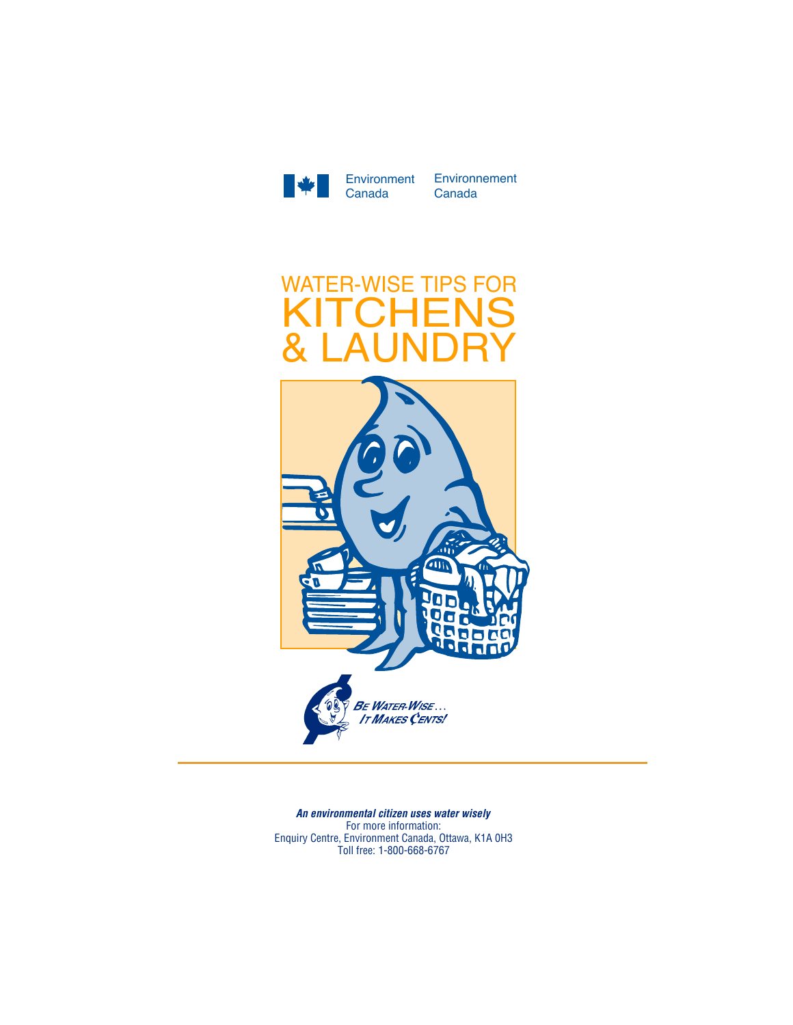

Environment Environnement Canada



*Un citoyen defenseur de l'écocivisme utilise l'eau judicieusement An environmental citizen uses water wisely* Pour pour profiteignement consultation.<br>Parties, on peut consulter : peut consultation in peut consultation in peut consultation in peut consultation. Information Canada, Ottawa, KIA 0H3<br>Toll from 1,900,000,0707 1-800-668-6767 (sans frais) For more information: Enquiry Centre, Environment Canada, Ottawa, K1A 0H3 Toll free: 1-800-668-6767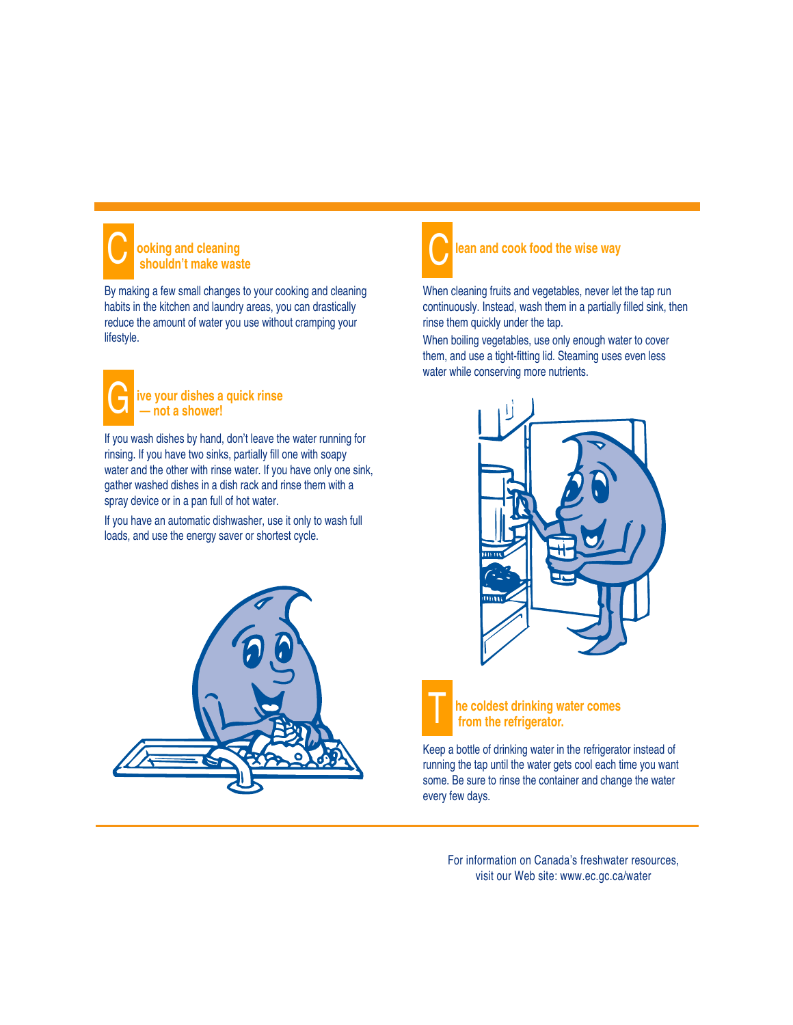

## **ooking and cleaning Shouldn't make waste**<br>
Shouldn't make waste

By making a few small changes to your cooking and cleaning habits in the kitchen and laundry areas, you can drastically reduce the amount of water you use without cramping your lifestyle.



### **ive your dishes a quick rinse — not a shower!**

If you wash dishes by hand, don't leave the water running for rinsing. If you have two sinks, partially fill one with soapy water and the other with rinse water. If you have only one sink, gather washed dishes in a dish rack and rinse them with a spray device or in a pan full of hot water.

If you have an automatic dishwasher, use it only to wash full loads, and use the energy saver or shortest cycle.





# **lean and cook food the wise way**

When cleaning fruits and vegetables, never let the tap run continuously. Instead, wash them in a partially filled sink, then rinse them quickly under the tap.

When boiling vegetables, use only enough water to cover them, and use a tight-fitting lid. Steaming uses even less water while conserving more nutrients.





Keep a bottle of drinking water in the refrigerator instead of running the tap until the water gets cool each time you want some. Be sure to rinse the container and change the water every few days.

For information on Canada's freshwater resources, visit our Web site: www.ec.gc.ca/water